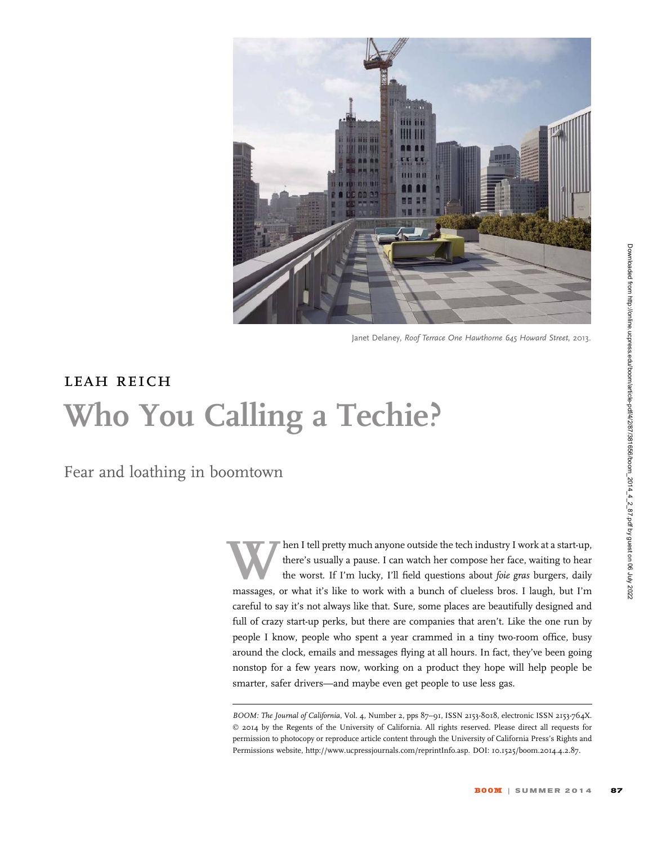

Janet Delaney, Roof Terrace One Hawthorne 645 Howard Street, 2013.

## leah reich Who You Calling a Techie?

Fear and loathing in boomtown

then I tell pretty much anyone outside the tech industry I work at a start-up,<br>there's usually a pause. I can watch her compose her face, waiting to hear<br>the worst. If I'm lucky, I'll field questions about *foie gras* burg there's usually a pause. I can watch her compose her face, waiting to hear the worst. If I'm lucky, I'll field questions about *foie gras* burgers, daily massages, or what it's like to work with a bunch of clueless bros. I laugh, but I'm careful to say it's not always like that. Sure, some places are beautifully designed and full of crazy start-up perks, but there are companies that aren't. Like the one run by people I know, people who spent a year crammed in a tiny two-room office, busy around the clock, emails and messages flying at all hours. In fact, they've been going nonstop for a few years now, working on a product they hope will help people be smarter, safer drivers—and maybe even get people to use less gas.

BOOM: The Journal of California, Vol. 4, Number 2, pps 87-91, ISSN 2153-8018, electronic ISSN 2153-764X. © 2014 by the Regents of the University of California. All rights reserved. Please direct all requests for permission to photocopy or reproduce article content through the University of California Press's Rights and Permissions website, http://www.ucpressjournals.com/reprintInfo.asp. DOI: 10.1525/boom.2014.4.2.87.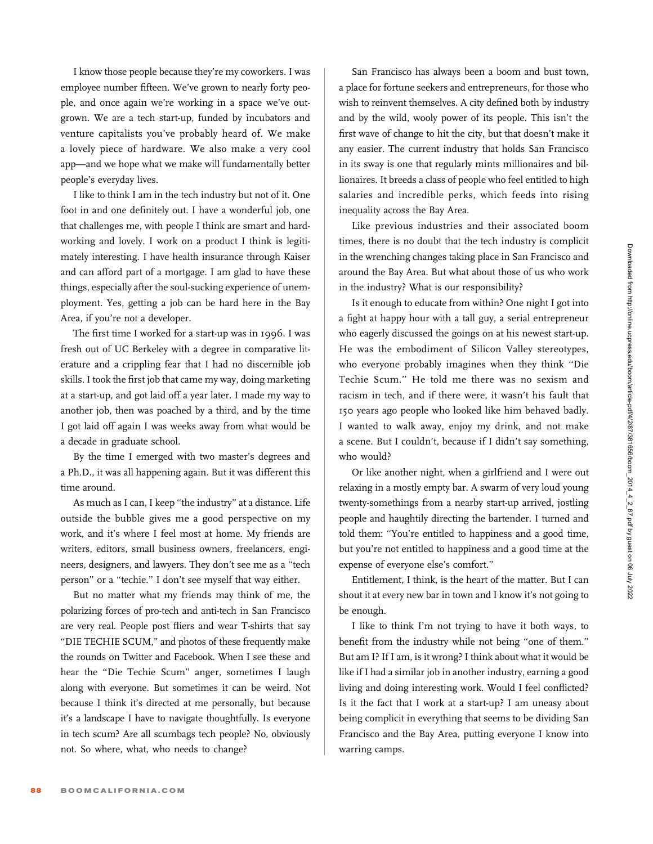I know those people because they're my coworkers. I was employee number fifteen. We've grown to nearly forty people, and once again we're working in a space we've outgrown. We are a tech start-up, funded by incubators and venture capitalists you've probably heard of. We make a lovely piece of hardware. We also make a very cool app—and we hope what we make will fundamentally better people's everyday lives.

I like to think I am in the tech industry but not of it. One foot in and one definitely out. I have a wonderful job, one that challenges me, with people I think are smart and hardworking and lovely. I work on a product I think is legitimately interesting. I have health insurance through Kaiser and can afford part of a mortgage. I am glad to have these things, especially after the soul-sucking experience of unemployment. Yes, getting a job can be hard here in the Bay Area, if you're not a developer.

The first time I worked for a start-up was in 1996. I was fresh out of UC Berkeley with a degree in comparative literature and a crippling fear that I had no discernible job skills. I took the first job that came my way, doing marketing at a start-up, and got laid off a year later. I made my way to another job, then was poached by a third, and by the time I got laid off again I was weeks away from what would be a decade in graduate school.

By the time I emerged with two master's degrees and a Ph.D., it was all happening again. But it was different this time around.

As much as I can, I keep ''the industry'' at a distance. Life outside the bubble gives me a good perspective on my work, and it's where I feel most at home. My friends are writers, editors, small business owners, freelancers, engineers, designers, and lawyers. They don't see me as a ''tech person'' or a ''techie.'' I don't see myself that way either.

But no matter what my friends may think of me, the polarizing forces of pro-tech and anti-tech in San Francisco are very real. People post fliers and wear T-shirts that say ''DIE TECHIE SCUM,'' and photos of these frequently make the rounds on Twitter and Facebook. When I see these and hear the "Die Techie Scum" anger, sometimes I laugh along with everyone. But sometimes it can be weird. Not because I think it's directed at me personally, but because it's a landscape I have to navigate thoughtfully. Is everyone in tech scum? Are all scumbags tech people? No, obviously not. So where, what, who needs to change?

San Francisco has always been a boom and bust town, a place for fortune seekers and entrepreneurs, for those who wish to reinvent themselves. A city defined both by industry and by the wild, wooly power of its people. This isn't the first wave of change to hit the city, but that doesn't make it any easier. The current industry that holds San Francisco in its sway is one that regularly mints millionaires and billionaires. It breeds a class of people who feel entitled to high salaries and incredible perks, which feeds into rising inequality across the Bay Area.

Like previous industries and their associated boom times, there is no doubt that the tech industry is complicit in the wrenching changes taking place in San Francisco and around the Bay Area. But what about those of us who work in the industry? What is our responsibility?

Is it enough to educate from within? One night I got into a fight at happy hour with a tall guy, a serial entrepreneur who eagerly discussed the goings on at his newest start-up. He was the embodiment of Silicon Valley stereotypes, who everyone probably imagines when they think ''Die Techie Scum.'' He told me there was no sexism and racism in tech, and if there were, it wasn't his fault that 150 years ago people who looked like him behaved badly. I wanted to walk away, enjoy my drink, and not make a scene. But I couldn't, because if I didn't say something, who would?

Or like another night, when a girlfriend and I were out relaxing in a mostly empty bar. A swarm of very loud young twenty-somethings from a nearby start-up arrived, jostling people and haughtily directing the bartender. I turned and told them: ''You're entitled to happiness and a good time, but you're not entitled to happiness and a good time at the expense of everyone else's comfort.''

Entitlement, I think, is the heart of the matter. But I can shout it at every new bar in town and I know it's not going to be enough.

I like to think I'm not trying to have it both ways, to benefit from the industry while not being ''one of them.'' But am I? If I am, is it wrong? I think about what it would be like if I had a similar job in another industry, earning a good living and doing interesting work. Would I feel conflicted? Is it the fact that I work at a start-up? I am uneasy about being complicit in everything that seems to be dividing San Francisco and the Bay Area, putting everyone I know into warring camps.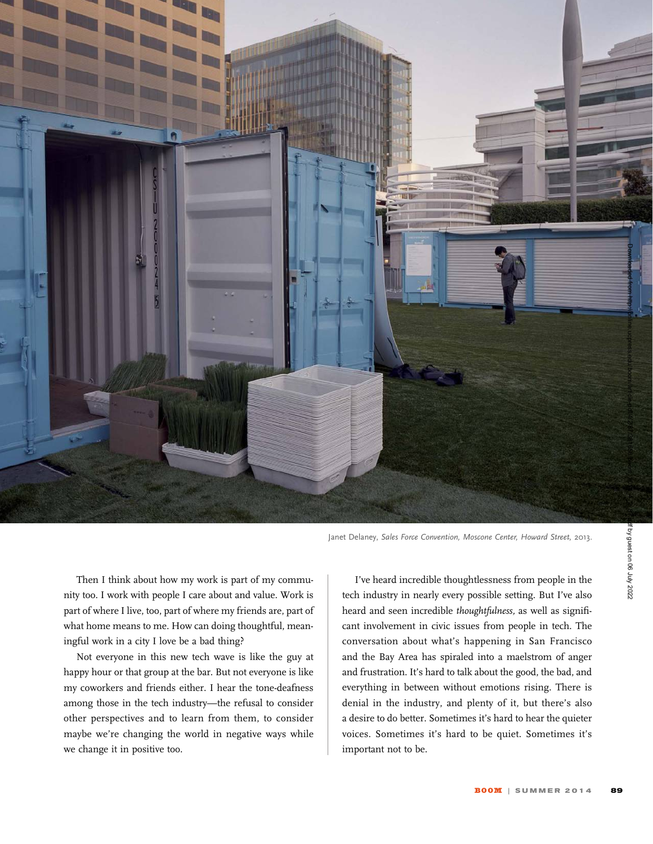

Janet Delaney, Sales Force Convention, Moscone Center, Howard Street, 2013.

Then I think about how my work is part of my community too. I work with people I care about and value. Work is part of where I live, too, part of where my friends are, part of what home means to me. How can doing thoughtful, meaningful work in a city I love be a bad thing?

Not everyone in this new tech wave is like the guy at happy hour or that group at the bar. But not everyone is like my coworkers and friends either. I hear the tone-deafness among those in the tech industry—the refusal to consider other perspectives and to learn from them, to consider maybe we're changing the world in negative ways while we change it in positive too.

I've heard incredible thoughtlessness from people in the tech industry in nearly every possible setting. But I've also heard and seen incredible thoughtfulness, as well as significant involvement in civic issues from people in tech. The conversation about what's happening in San Francisco and the Bay Area has spiraled into a maelstrom of anger and frustration. It's hard to talk about the good, the bad, and everything in between without emotions rising. There is denial in the industry, and plenty of it, but there's also a desire to do better. Sometimes it's hard to hear the quieter voices. Sometimes it's hard to be quiet. Sometimes it's important not to be.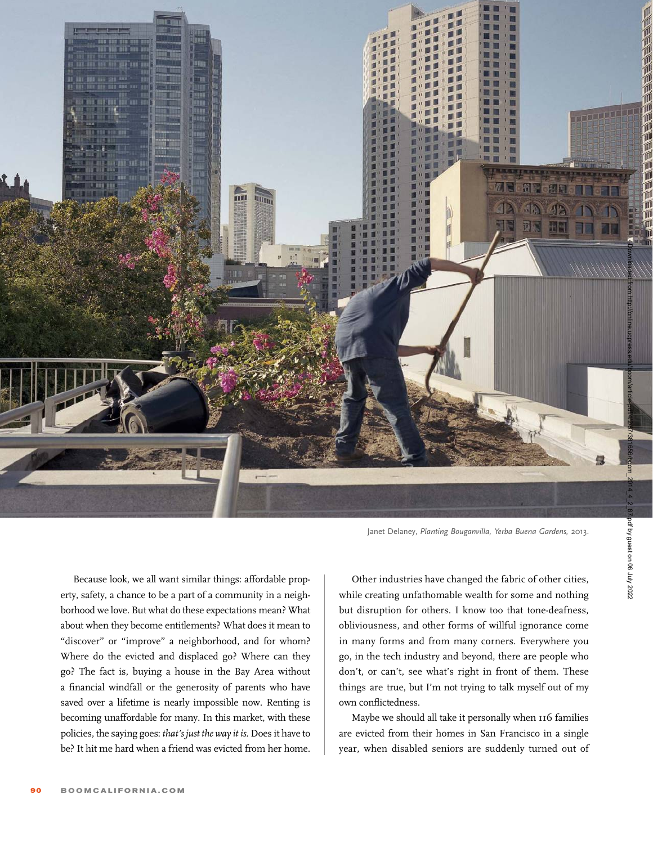

Janet Delaney, Planting Bouganvilla, Yerba Buena Gardens, 2013.

Because look, we all want similar things: affordable property, safety, a chance to be a part of a community in a neighborhood we love. But what do these expectations mean? What about when they become entitlements? What does it mean to "discover" or "improve" a neighborhood, and for whom? Where do the evicted and displaced go? Where can they go? The fact is, buying a house in the Bay Area without a financial windfall or the generosity of parents who have saved over a lifetime is nearly impossible now. Renting is becoming unaffordable for many. In this market, with these policies, the saying goes: that's just the way it is. Does it have to be? It hit me hard when a friend was evicted from her home.

Other industries have changed the fabric of other cities, while creating unfathomable wealth for some and nothing but disruption for others. I know too that tone-deafness, obliviousness, and other forms of willful ignorance come in many forms and from many corners. Everywhere you go, in the tech industry and beyond, there are people who don't, or can't, see what's right in front of them. These things are true, but I'm not trying to talk myself out of my own conflictedness.

Maybe we should all take it personally when 116 families are evicted from their homes in San Francisco in a single year, when disabled seniors are suddenly turned out of